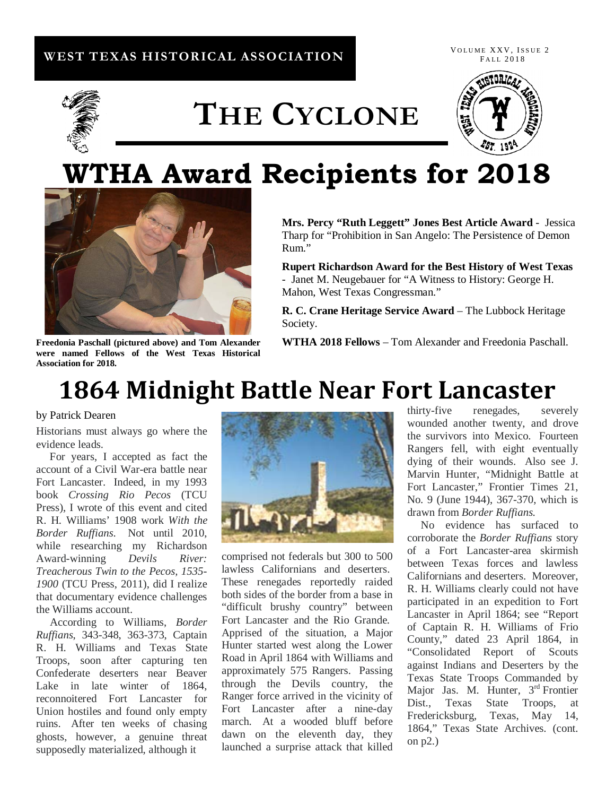## **WEST TEXAS HISTORICAL ASSOCIATION**

VOLUME XXV, ISSUE 2 FALL 2018



# **THE CYCLONE**



# **WTHA Award Recipients for 2018**



**Freedonia Paschall (pictured above) and Tom Alexander were named Fellows of the West Texas Historical Association for 2018.**

**Mrs. Percy "Ruth Leggett" Jones Best Article Award** - Jessica Tharp for "Prohibition in San Angelo: The Persistence of Demon Rum."

**Rupert Richardson Award for the Best History of West Texas** - Janet M. Neugebauer for "A Witness to History: George H. Mahon, West Texas Congressman."

**R. C. Crane Heritage Service Award** – The Lubbock Heritage Society.

**WTHA 2018 Fellows** – Tom Alexander and Freedonia Paschall.

## **1864 Midnight Battle Near Fort Lancaster**

### by Patrick Dearen

Historians must always go where the evidence leads.

 For years, I accepted as fact the account of a Civil War-era battle near Fort Lancaster. Indeed, in my 1993 book *Crossing Rio Pecos* (TCU Press), I wrote of this event and cited R. H. Williams' 1908 work *With the Border Ruffians*. Not until 2010, while researching my Richardson Award-winning *Devils River: Treacherous Twin to the Pecos, 1535- 1900* (TCU Press, 2011), did I realize that documentary evidence challenges the Williams account.

 According to Williams, *Border Ruffians*, 343-348, 363-373, Captain R. H. Williams and Texas State Troops, soon after capturing ten Confederate deserters near Beaver Lake in late winter of 1864, reconnoitered Fort Lancaster for Union hostiles and found only empty ruins. After ten weeks of chasing ghosts, however, a genuine threat supposedly materialized, although it



comprised not federals but 300 to 500 lawless Californians and deserters. These renegades reportedly raided both sides of the border from a base in "difficult brushy country" between Fort Lancaster and the Rio Grande. Apprised of the situation, a Major Hunter started west along the Lower Road in April 1864 with Williams and approximately 575 Rangers. Passing through the Devils country, the Ranger force arrived in the vicinity of Fort Lancaster after a nine-day march. At a wooded bluff before dawn on the eleventh day, they launched a surprise attack that killed

thirty-five renegades, severely wounded another twenty, and drove the survivors into Mexico. Fourteen Rangers fell, with eight eventually dying of their wounds. Also see J. Marvin Hunter, "Midnight Battle at Fort Lancaster," Frontier Times 21, No. 9 (June 1944), 367-370, which is drawn from *Border Ruffians.*

 No evidence has surfaced to corroborate the *Border Ruffians* story of a Fort Lancaster-area skirmish between Texas forces and lawless Californians and deserters. Moreover, R. H. Williams clearly could not have participated in an expedition to Fort Lancaster in April 1864; see "Report of Captain R. H. Williams of Frio County," dated 23 April 1864, in "Consolidated Report of Scouts against Indians and Deserters by the Texas State Troops Commanded by Major Jas. M. Hunter, 3<sup>rd</sup> Frontier Dist., Texas State Troops, at Fredericksburg, Texas, May 14, 1864," Texas State Archives. (cont. on p2.)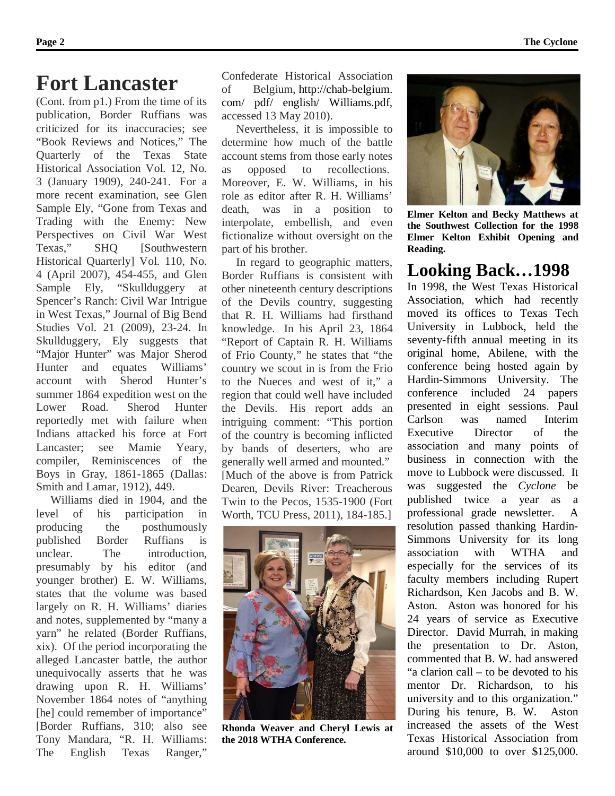## **Fort Lancaster**

(Cont. from p1.) From the time of its publication, Border Ruffians was criticized for its inaccuracies; see "Book Reviews and Notices," The Quarterly of the Texas State Historical Association Vol. 12, No. 3 (January 1909), 240-241. For a more recent examination, see Glen Sample Ely, "Gone from Texas and Trading with the Enemy: New Perspectives on Civil War West Texas," SHQ [Southwestern Historical Quarterly] Vol. 110, No. 4 (April 2007), 454-455, and Glen Sample Ely, "Skullduggery at Spencer's Ranch: Civil War Intrigue in West Texas," Journal of Big Bend Studies Vol. 21 (2009), 23-24. In Skullduggery, Ely suggests that "Major Hunter" was Major Sherod Hunter and equates Williams' account with Sherod Hunter's summer 1864 expedition west on the Lower Road. Sherod Hunter reportedly met with failure when Indians attacked his force at Fort Lancaster; see Mamie Yeary, compiler, Reminiscences of the Boys in Gray, 1861-1865 (Dallas: Smith and Lamar, 1912), 449.

 Williams died in 1904, and the level of his participation in producing the posthumously published Border Ruffians is unclear. The introduction, presumably by his editor (and younger brother) E. W. Williams, states that the volume was based largely on R. H. Williams' diaries and notes, supplemented by "many a yarn" he related (Border Ruffians, xix). Of the period incorporating the alleged Lancaster battle, the author unequivocally asserts that he was drawing upon R. H. Williams' November 1864 notes of "anything [he] could remember of importance" [Border Ruffians, 310; also see Tony Mandara, "R. H. Williams: The English Texas Ranger,"

Confederate Historical Association of Belgium, http://chab-belgium. com/ pdf/ english/ Williams.pdf, accessed 13 May 2010).

 Nevertheless, it is impossible to determine how much of the battle account stems from those early notes as opposed to recollections. Moreover, E. W. Williams, in his role as editor after R. H. Williams' death, was in a position to interpolate, embellish, and even fictionalize without oversight on the part of his brother.

 In regard to geographic matters, Border Ruffians is consistent with other nineteenth century descriptions of the Devils country, suggesting that R. H. Williams had firsthand knowledge. In his April 23, 1864 "Report of Captain R. H. Williams of Frio County," he states that "the country we scout in is from the Frio to the Nueces and west of it," a region that could well have included the Devils. His report adds an intriguing comment: "This portion of the country is becoming inflicted by bands of deserters, who are generally well armed and mounted." [Much of the above is from Patrick Dearen, Devils River: Treacherous Twin to the Pecos, 1535-1900 (Fort Worth, TCU Press, 2011), 184-185.]



**Rhonda Weaver and Cheryl Lewis at the 2018 WTHA Conference.**



**Elmer Kelton and Becky Matthews at the Southwest Collection for the 1998 Elmer Kelton Exhibit Opening and Reading.**

## **Looking Back…1998**

In 1998, the West Texas Historical Association, which had recently moved its offices to Texas Tech University in Lubbock, held the seventy-fifth annual meeting in its original home, Abilene, with the conference being hosted again by Hardin-Simmons University. The conference included 24 papers presented in eight sessions. Paul Carlson was named Interim Executive Director of the association and many points of business in connection with the move to Lubbock were discussed. It was suggested the *Cyclone* be published twice a year as a professional grade newsletter. A resolution passed thanking Hardin-Simmons University for its long association with WTHA and especially for the services of its faculty members including Rupert Richardson, Ken Jacobs and B. W. Aston. Aston was honored for his 24 years of service as Executive Director. David Murrah, in making the presentation to Dr. Aston, commented that B. W. had answered "a clarion call – to be devoted to his mentor Dr. Richardson, to his university and to this organization." During his tenure, B. W. Aston increased the assets of the West Texas Historical Association from around \$10,000 to over \$125,000.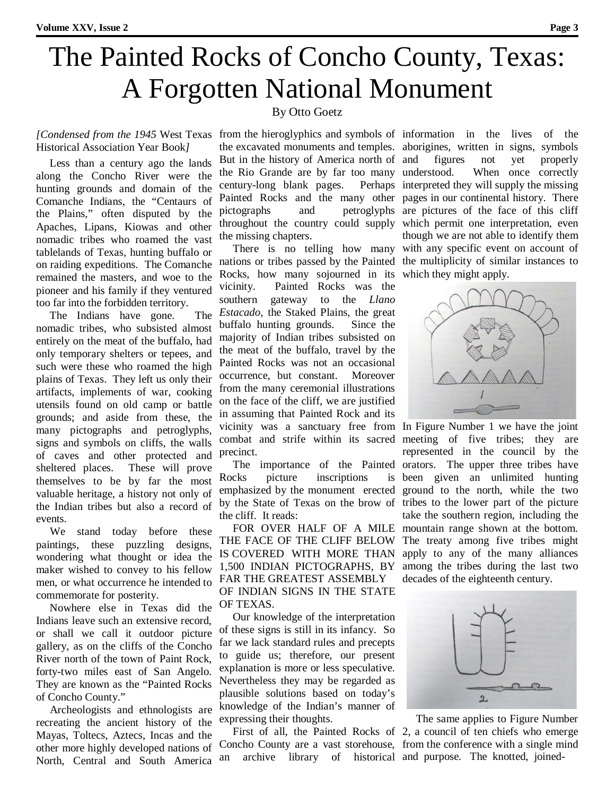# The Painted Rocks of Concho County, Texas: A Forgotten National Monument

## By Otto Goetz

## *[Condensed from the 1945* West Texas from the hieroglyphics and symbols of information in the lives of the Historical Association Year Book*]*

 Less than a century ago the lands along the Concho River were the hunting grounds and domain of the Comanche Indians, the "Centaurs of the Plains," often disputed by the Apaches, Lipans, Kiowas and other nomadic tribes who roamed the vast tablelands of Texas, hunting buffalo or on raiding expeditions. The Comanche remained the masters, and woe to the pioneer and his family if they ventured too far into the forbidden territory.

 The Indians have gone. The nomadic tribes, who subsisted almost entirely on the meat of the buffalo, had only temporary shelters or tepees, and such were these who roamed the high plains of Texas. They left us only their artifacts, implements of war, cooking utensils found on old camp or battle grounds; and aside from these, the many pictographs and petroglyphs, signs and symbols on cliffs, the walls of caves and other protected and sheltered places. These will prove themselves to be by far the most valuable heritage, a history not only of the Indian tribes but also a record of events.

We stand today before these paintings, these puzzling designs, wondering what thought or idea the maker wished to convey to his fellow men, or what occurrence he intended to commemorate for posterity.

 Nowhere else in Texas did the Indians leave such an extensive record, or shall we call it outdoor picture gallery, as on the cliffs of the Concho River north of the town of Paint Rock, forty-two miles east of San Angelo. They are known as the "Painted Rocks of Concho County."

 Archeologists and ethnologists are recreating the ancient history of the Mayas, Toltecs, Aztecs, Incas and the other more highly developed nations of North, Central and South America

the excavated monuments and temples. aborigines, written in signs, symbols But in the history of America north of and the Rio Grande are by far too many century-long blank pages. Painted Rocks and the many other pages in our continental history. There pictographs and petroglyphs are pictures of the face of this cliff throughout the country could supply which permit one interpretation, even the missing chapters.

 There is no telling how many with any specific event on account of nations or tribes passed by the Painted the multiplicity of similar instances to Rocks, how many sojourned in its which they might apply. vicinity. Painted Rocks was the southern gateway to the *Llano Estacado*, the Staked Plains, the great buffalo hunting grounds. Since the majority of Indian tribes subsisted on the meat of the buffalo, travel by the Painted Rocks was not an occasional occurrence, but constant. Moreover from the many ceremonial illustrations on the face of the cliff, we are justified in assuming that Painted Rock and its vicinity was a sanctuary free from In Figure Number 1 we have the joint combat and strife within its sacred meeting of five tribes; they are precinct.

 The importance of the Painted Rocks picture inscriptions is emphasized by the monument erected by the State of Texas on the brow of tribes to the lower part of the picture the cliff. It reads:

 FOR OVER HALF OF A MILE THE FACE OF THE CLIFF BELOW IS COVERED WITH MORE THAN 1,500 INDIAN PICTOGRAPHS, BY FAR THE GREATEST ASSEMBLY OF INDIAN SIGNS IN THE STATE OF TEXAS.

 Our knowledge of the interpretation of these signs is still in its infancy. So far we lack standard rules and precepts to guide us; therefore, our present explanation is more or less speculative. Nevertheless they may be regarded as plausible solutions based on today's knowledge of the Indian's manner of expressing their thoughts.

an archive library of historical and purpose. The knotted, joined-

figures not yet properly When once correctly interpreted they will supply the missing though we are not able to identify them



represented in the council by the orators. The upper three tribes have been given an unlimited hunting ground to the north, while the two take the southern region, including the mountain range shown at the bottom. The treaty among five tribes might apply to any of the many alliances among the tribes during the last two decades of the eighteenth century.



 First of all, the Painted Rocks of 2, a council of ten chiefs who emerge Concho County are a vast storehouse, from the conference with a single mind The same applies to Figure Number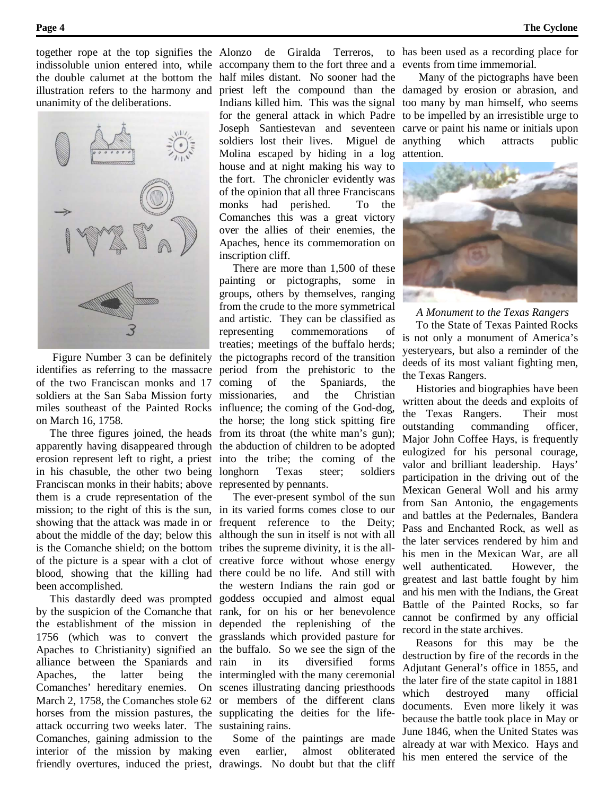illustration refers to the harmony and unanimity of the deliberations.



 Figure Number 3 can be definitely identifies as referring to the massacre of the two Franciscan monks and 17 soldiers at the San Saba Mission forty miles southeast of the Painted Rocks on March 16, 1758.

apparently having disappeared through erosion represent left to right, a priest in his chasuble, the other two being Franciscan monks in their habits; above represented by pennants. them is a crude representation of the mission; to the right of this is the sun, in its varied forms comes close to our showing that the attack was made in or frequent reference to the Deity; about the middle of the day; below this is the Comanche shield; on the bottom tribes the supreme divinity, it is the allof the picture is a spear with a clot of creative force without whose energy blood, showing that the killing had been accomplished.

alliance between the Spaniards and Apaches, the latter being horses from the mission pastures, the supplicating the deities for the lifeattack occurring two weeks later. The sustaining rains. Comanches, gaining admission to the interior of the mission by making

indissoluble union entered into, while accompany them to the fort three and a events from time immemorial. the double calumet at the bottom the half miles distant. No sooner had the priest left the compound than the damaged by erosion or abrasion, and Indians killed him. This was the signal too many by man himself, who seems for the general attack in which Padre to be impelled by an irresistible urge to Joseph Santiestevan and seventeen carve or paint his name or initials upon soldiers lost their lives. Miguel de anything which attracts public Molina escaped by hiding in a log attention. house and at night making his way to the fort. The chronicler evidently was of the opinion that all three Franciscans monks had perished. To the Comanches this was a great victory over the allies of their enemies, the Apaches, hence its commemoration on inscription cliff.

 The three figures joined, the heads from its throat (the white man's gun); There are more than 1,500 of these painting or pictographs, some in groups, others by themselves, ranging from the crude to the more symmetrical and artistic. They can be classified as representing commemorations treaties; meetings of the buffalo herds; the pictographs record of the transition period from the prehistoric to the coming of the Spaniards, the missionaries, and the Christian influence; the coming of the God-dog, the horse; the long stick spitting fire the abduction of children to be adopted into the tribe; the coming of the longhorn Texas steer; soldiers

 This dastardly deed was prompted goddess occupied and almost equal by the suspicion of the Comanche that rank, for on his or her benevolence the establishment of the mission in depended the replenishing of the 1756 (which was to convert the grasslands which provided pasture for Apaches to Christianity) signified an the buffalo. So we see the sign of the Comanches' hereditary enemies. On scenes illustrating dancing priesthoods March 2, 1758, the Comanches stole 62 or members of the different clans The ever-present symbol of the sun although the sun in itself is not with all there could be no life. And still with the western Indians the rain god or in its diversified forms the intermingled with the many ceremonial

friendly overtures, induced the priest, drawings. No doubt but that the cliff Some of the paintings are made earlier, almost obliterated

together rope at the top signifies the Alonzo de Giralda Terreros, to has been used as a recording place for

Many of the pictographs have been



 *A Monument to the Texas Rangers*

 To the State of Texas Painted Rocks is not only a monument of America's yesteryears, but also a reminder of the deeds of its most valiant fighting men, the Texas Rangers.

 Histories and biographies have been written about the deeds and exploits of the Texas Rangers. Their most outstanding commanding officer, Major John Coffee Hays, is frequently eulogized for his personal courage, valor and brilliant leadership. Hays' participation in the driving out of the Mexican General Woll and his army from San Antonio, the engagements and battles at the Pedernales, Bandera Pass and Enchanted Rock, as well as the later services rendered by him and his men in the Mexican War, are all well authenticated. However, the greatest and last battle fought by him and his men with the Indians, the Great Battle of the Painted Rocks, so far cannot be confirmed by any official record in the state archives.

 Reasons for this may be the destruction by fire of the records in the Adjutant General's office in 1855, and the later fire of the state capitol in 1881 which destroyed many official documents. Even more likely it was because the battle took place in May or June 1846, when the United States was already at war with Mexico. Hays and his men entered the service of the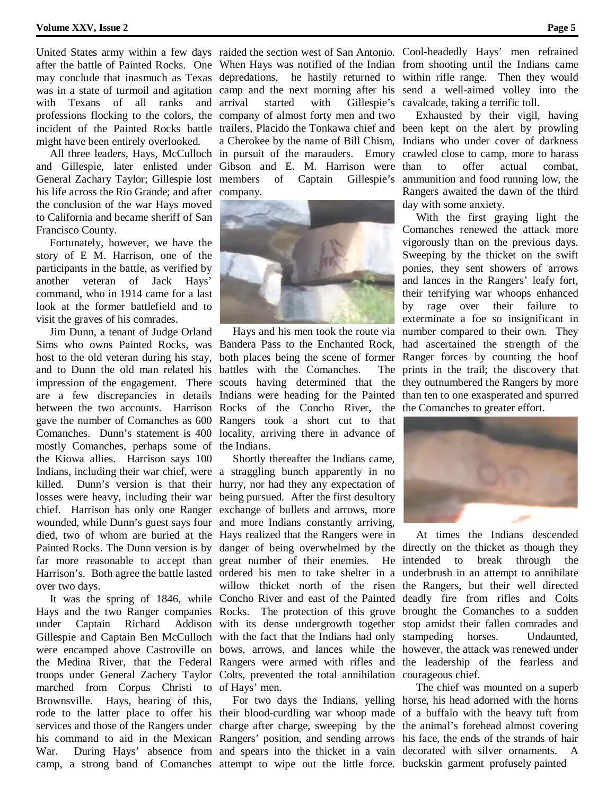with Texans of all ranks and arrival might have been entirely overlooked.

and Gillespie, later enlisted under Gibson and E. M. Harrison were his life across the Rio Grande; and after company. the conclusion of the war Hays moved to California and became sheriff of San Francisco County.

 Fortunately, however, we have the story of E M. Harrison, one of the participants in the battle, as verified by another veteran of Jack Hays' command, who in 1914 came for a last look at the former battlefield and to visit the graves of his comrades.

 Jim Dunn, a tenant of Judge Orland and to Dunn the old man related his battles with the Comanches. The gave the number of Comanches as 600 Rangers took a short cut to that Comanches. Dunn's statement is 400 locality, arriving there in advance of mostly Comanches, perhaps some of the Indians. the Kiowa allies. Harrison says 100 Indians, including their war chief, were a straggling bunch apparently in no killed. Dunn's version is that their hurry, nor had they any expectation of losses were heavy, including their war being pursued. After the first desultory chief. Harrison has only one Ranger exchange of bullets and arrows, more wounded, while Dunn's guest says four and more Indians constantly arriving, died, two of whom are buried at the Hays realized that the Rangers were in over two days.

marched from Corpus Christi to of Hays' men. Brownsville. Hays, hearing of this, rode to the latter place to offer his their blood-curdling war whoop made of a buffalo with the heavy tuft from services and those of the Rangers under charge after charge, sweeping by the the animal's forehead almost covering his command to aid in the Mexican Rangers' position, and sending arrows his face, the ends of the strands of hair War. During Hays' absence from and spears into the thicket in a vain decorated with silver ornaments. A

after the battle of Painted Rocks. One When Hays was notified of the Indian from shooting until the Indians came may conclude that inasmuch as Texas depredations, he hastily returned to within rifle range. Then they would was in a state of turmoil and agitation camp and the next morning after his send a well-aimed volley into the professions flocking to the colors, the company of almost forty men and two incident of the Painted Rocks battle trailers, Placido the Tonkawa chief and been kept on the alert by prowling All three leaders, Hays, McCulloch in pursuit of the marauders. Emory crawled close to camp, more to harass General Zachary Taylor; Gillespie lost members of Captain Gillespie's ammunition and food running low, the arrival started with Gillespie's cavalcade, taking a terrific toll. a Cherokee by the name of Bill Chism, Indians who under cover of darkness



Sims who owns Painted Rocks, was Bandera Pass to the Enchanted Rock, had ascertained the strength of the host to the old veteran during his stay, both places being the scene of former Ranger forces by counting the hoof impression of the engagement. There scouts having determined that the they outnumbered the Rangers by more are a few discrepancies in details Indians were heading for the Painted than ten to one exasperated and spurred between the two accounts. Harrison Rocks of the Concho River, the the Comanches to greater effort. Hays and his men took the route via number compared to their own. They

Painted Rocks. The Dunn version is by danger of being overwhelmed by the directly on the thicket as though they far more reasonable to accept than great number of their enemies. He intended to break through the Harrison's. Both agree the battle lasted ordered his men to take shelter in a underbrush in an attempt to annihilate It was the spring of 1846, while Concho River and east of the Painted deadly fire from rifles and Colts Hays and the two Ranger companies Rocks. The protection of this grove brought the Comanches to a sudden under Captain Richard Addison with its dense undergrowth together stop amidst their fallen comrades and Gillespie and Captain Ben McCulloch with the fact that the Indians had only stampeding horses. Undaunted, were encamped above Castroville on bows, arrows, and lances while the however, the attack was renewed under the Medina River, that the Federal Rangers were armed with rifles and the leadership of the fearless and troops under General Zachery Taylor Colts, prevented the total annihilation courageous chief. Shortly thereafter the Indians came, willow thicket north of the risen the Rangers, but their well directed

camp, a strong band of Comanches attempt to wipe out the little force. buckskin garment profusely painted For two days the Indians, yelling horse, his head adorned with the horns

United States army within a few days raided the section west of San Antonio. Cool-headedly Hays' men refrained

 Exhausted by their vigil, having to offer actual combat, Rangers awaited the dawn of the third day with some anxiety.

 With the first graying light the Comanches renewed the attack more vigorously than on the previous days. Sweeping by the thicket on the swift ponies, they sent showers of arrows and lances in the Rangers' leafy fort, their terrifying war whoops enhanced by rage over their failure to exterminate a foe so insignificant in The prints in the trail; the discovery that



At times the Indians descended

The chief was mounted on a superb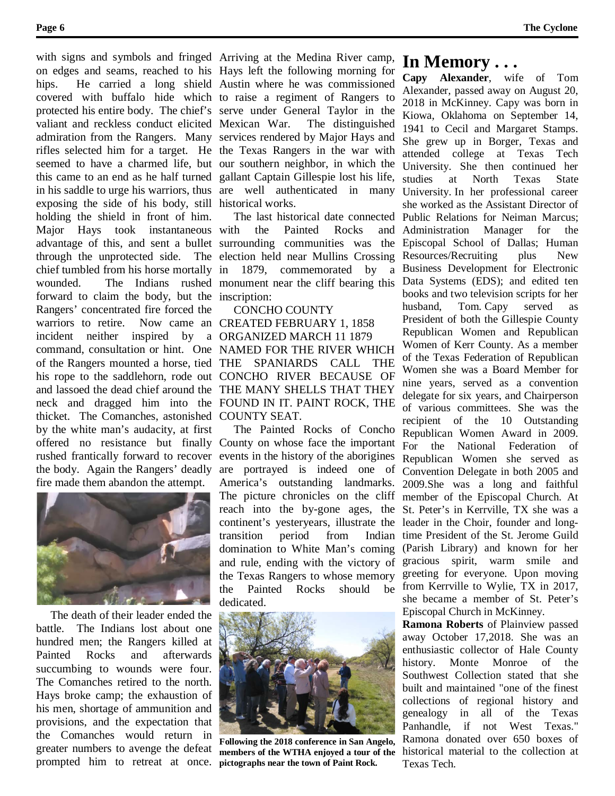valiant and reckless conduct elicited Mexican War. exposing the side of his body, still historical works. holding the shield in front of him. Major Hays took instantaneous with forward to claim the body, but the inscription: Rangers' concentrated fire forced the warriors to retire. incident neither inspired by a ORGANIZED MARCH 11 1879 command, consultation or hint. One NAMED FOR THE RIVER WHICH of the Rangers mounted a horse, tied THE SPANIARDS CALL THE his rope to the saddlehorn, rode out CONCHO RIVER BECAUSE OF and lassoed the dead chief around the THE MANY SHELLS THAT THEY neck and dragged him into the FOUND IN IT. PAINT ROCK, THE thicket. The Comanches, astonished COUNTY SEAT. by the white man's audacity, at first fire made them abandon the attempt.



 The death of their leader ended the battle. The Indians lost about one hundred men; the Rangers killed at Painted Rocks and afterwards succumbing to wounds were four. The Comanches retired to the north. Hays broke camp; the exhaustion of his men, shortage of ammunition and provisions, and the expectation that the Comanches would return in greater numbers to avenge the defeat prompted him to retreat at once. **pictographs near the town of Paint Rock.**

with signs and symbols and fringed Arriving at the Medina River camp, on edges and seams, reached to his Hays left the following morning for hips. He carried a long shield Austin where he was commissioned covered with buffalo hide which to raise a regiment of Rangers to protected his entire body. The chief's serve under General Taylor in the admiration from the Rangers. Many services rendered by Major Hays and rifles selected him for a target. He the Texas Rangers in the war with seemed to have a charmed life, but our southern neighbor, in which the this came to an end as he half turned gallant Captain Gillespie lost his life, in his saddle to urge his warriors, thus are well authenticated in many The distinguished

advantage of this, and sent a bullet surrounding communities was the through the unprotected side. The election held near Mullins Crossing chief tumbled from his horse mortally in 1879, commemorated by a wounded. The Indians rushed monument near the cliff bearing this The last historical date connected the Painted Rocks and

> CONCHO COUNTY Now came an CREATED FEBRUARY 1, 1858

offered no resistance but finally County on whose face the important rushed frantically forward to recover events in the history of the aborigines the body. Again the Rangers' deadly are portrayed is indeed one of The Painted Rocks of Concho America's outstanding landmarks. The picture chronicles on the cliff reach into the by-gone ages, the continent's yesteryears, illustrate the transition period from Indian domination to White Man's coming and rule, ending with the victory of the Texas Rangers to whose memory the Painted Rocks should be dedicated.



**Following the 2018 conference in San Angelo, members of the WTHA enjoyed a tour of the** 

## **In Memory . . .**

**Capy Alexander**, wife of Tom Alexander, passed away on August 20, 2018 in McKinney. Capy was born in Kiowa, Oklahoma on September 14, 1941 to Cecil and Margaret Stamps. She grew up in Borger, Texas and attended college at Texas Tech University. She then continued her studies at North Texas State University. In her professional career she worked as the Assistant Director of Public Relations for Neiman Marcus; Administration Manager for the Episcopal School of Dallas; Human Resources/Recruiting plus New Business Development for Electronic Data Systems (EDS); and edited ten books and two television scripts for her husband, Tom. Capy served as President of both the Gillespie County Republican Women and Republican Women of Kerr County. As a member of the Texas Federation of Republican Women she was a Board Member for nine years, served as a convention delegate for six years, and Chairperson of various committees. She was the recipient of the 10 Outstanding Republican Women Award in 2009. For the National Federation of Republican Women she served as Convention Delegate in both 2005 and 2009.She was a long and faithful member of the Episcopal Church. At St. Peter's in Kerrville, TX she was a leader in the Choir, founder and longtime President of the St. Jerome Guild (Parish Library) and known for her gracious spirit, warm smile and greeting for everyone. Upon moving from Kerrville to Wylie, TX in 2017, she became a member of St. Peter's Episcopal Church in McKinney.

**Ramona Roberts** of Plainview passed away October 17,2018. She was an enthusiastic collector of Hale County history. Monte Monroe of the Southwest Collection stated that she built and maintained "one of the finest collections of regional history and genealogy in all of the Texas Panhandle, if not West Texas." Ramona donated over 650 boxes of historical material to the collection at Texas Tech.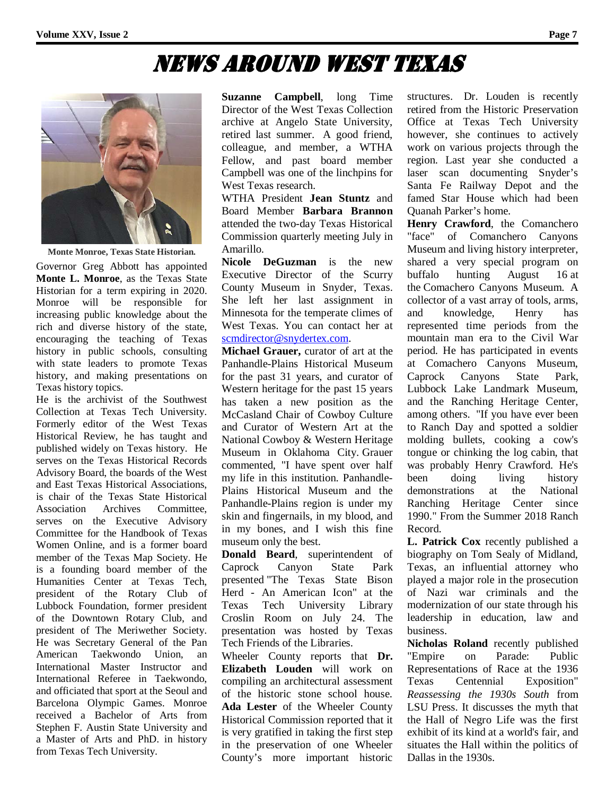## News Around West Texas



**Monte Monroe, Texas State Historian.**

Governor Greg Abbott has appointed **Monte L. Monroe**, as the Texas State Historian for a term expiring in 2020. Monroe will be responsible for increasing public knowledge about the rich and diverse history of the state, encouraging the teaching of Texas history in public schools, consulting with state leaders to promote Texas history, and making presentations on Texas history topics.

He is the archivist of the Southwest Collection at Texas Tech University. Formerly editor of the West Texas Historical Review, he has taught and published widely on Texas history. He serves on the Texas Historical Records Advisory Board, the boards of the West and East Texas Historical Associations, is chair of the Texas State Historical Association Archives Committee, serves on the Executive Advisory Committee for the Handbook of Texas Women Online, and is a former board member of the Texas Map Society. He is a founding board member of the Humanities Center at Texas Tech, president of the Rotary Club of Lubbock Foundation, former president of the Downtown Rotary Club, and president of The Meriwether Society. He was Secretary General of the Pan American Taekwondo Union, an International Master Instructor and International Referee in Taekwondo, and officiated that sport at the Seoul and Barcelona Olympic Games. Monroe received a Bachelor of Arts from Stephen F. Austin State University and a Master of Arts and PhD. in history from Texas Tech University.

**Suzanne Campbell**, long Time Director of the West Texas Collection archive at Angelo State University, retired last summer. A good friend, colleague, and member, a WTHA Fellow, and past board member Campbell was one of the linchpins for West Texas research.

WTHA President **Jean Stuntz** and Board Member **Barbara Brannon** attended the two-day Texas Historical Commission quarterly meeting July in Amarillo.

**Nicole DeGuzman** is the new Executive Director of the Scurry County Museum in Snyder, Texas. She left her last assignment in Minnesota for the temperate climes of West Texas. You can contact her at [scmdirector@snydertex.com.](https://webmaila.juno.com/webmail/new/5?session_redirect=true&userinfo=a8392230cef79832c7886575de61d60f&count=1535130887&cf=sp&randid=2087429843)

**Michael Grauer,** curator of art at the Panhandle-Plains Historical Museum for the past 31 years, and curator of Western heritage for the past 15 years has taken a new position as the McCasland Chair of Cowboy Culture and Curator of Western Art at the National Cowboy & Western Heritage Museum in Oklahoma City. Grauer commented, "I have spent over half my life in this institution. Panhandle-Plains Historical Museum and the Panhandle-Plains region is under my skin and fingernails, in my blood, and in my bones, and I wish this fine museum only the best.

**Donald Beard**, superintendent of Caprock Canyon State Park presented "The Texas State Bison Herd - An American Icon" at the Texas Tech University Library Croslin Room on July 24. The presentation was hosted by Texas Tech Friends of the Libraries.

Wheeler County reports that **Dr. Elizabeth Louden** will work on compiling an architectural assessment of the historic stone school house. **Ada Lester** of the Wheeler County Historical Commission reported that it is very gratified in taking the first step in the preservation of one Wheeler County's more important historic

structures. Dr. Louden is recently retired from the Historic Preservation Office at Texas Tech University however, she continues to actively work on various projects through the region. Last year she conducted a laser scan documenting Snyder's Santa Fe Railway Depot and the famed Star House which had been Quanah Parker's home.

**Henry Crawford**, the Comanchero "face" of Comanchero Canyons Museum and living history interpreter, shared a very special program on buffalo hunting August 16 at the Comachero Canyons Museum. A collector of a vast array of tools, arms, and knowledge, Henry has represented time periods from the mountain man era to the Civil War period. He has participated in events at Comachero Canyons Museum, Caprock Canyons State Park, Lubbock Lake Landmark Museum, and the Ranching Heritage Center, among others. "If you have ever been to Ranch Day and spotted a soldier molding bullets, cooking a cow's tongue or chinking the log cabin, that was probably Henry Crawford. He's been doing living history demonstrations at the National Ranching Heritage Center since 1990." From the Summer 2018 Ranch Record.

**L. Patrick Cox** recently published a biography on Tom Sealy of Midland, Texas, an influential attorney who played a major role in the prosecution of Nazi war criminals and the modernization of our state through his leadership in education, law and business.

**Nicholas Roland** recently published "Empire on Parade: Public Representations of Race at the 1936 Texas Centennial Exposition" *Reassessing the 1930s South* from LSU Press. It discusses the myth that the Hall of Negro Life was the first exhibit of its kind at a world's fair, and situates the Hall within the politics of Dallas in the 1930s.